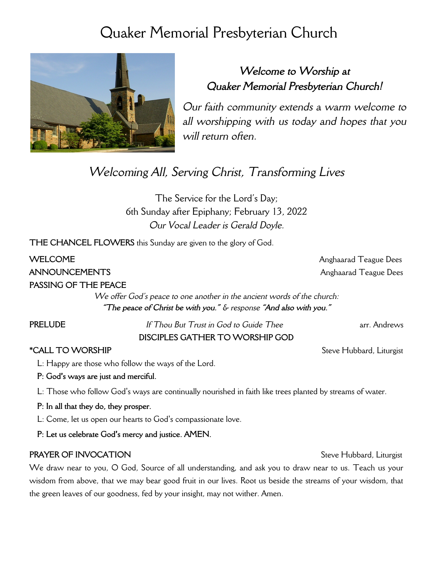# Quaker Memorial Presbyterian Church



## *Welcome to Worship at Quaker Memorial Presbyterian Church!*

*Our faith community extends a warm welcome to all worshipping with us today and hopes that you will return often.*

## *Welcoming All, Serving Christ, Transforming Lives*

The Service for the Lord's Day; 6th Sunday after Epiphany; February 13, 2022 *Our Vocal Leader is Gerald Doyle.*

**THE CHANCEL FLOWERS** this Sunday are given to the glory of God.

**WELCOME** Anghaarad Teague Dees **ANNOUNCEMENTS** Anghaarad Teague Dees **PASSING OF THE PEACE**

*We offer God's peace to one another in the ancient words of the church: "The peace of Christ be with you." & response "And also with you."*

**PRELUDE** *If Thou But Trust in God to Guide Thee* arr. Andrews **DISCIPLES GATHER TO WORSHIP GOD**

### **\*CALL TO WORSHIP** Steve Hubbard, Liturgist

- L: Happy are those who follow the ways of the Lord.
- **P: God**'**s ways are just and merciful.**
- L: Those who follow God's ways are continually nourished in faith like trees planted by streams of water.
- **P: In all that they do, they prosper.**
- L: Come, let us open our hearts to God's compassionate love.
- **P: Let us celebrate God**'**s mercy and justice. AMEN.**

### **PRAYER OF INVOCATION** Steve Hubbard, Liturgist

We draw near to you, O God, Source of all understanding, and ask you to draw near to us. Teach us your wisdom from above, that we may bear good fruit in our lives. Root us beside the streams of your wisdom, that the green leaves of our goodness, fed by your insight, may not wither. Amen.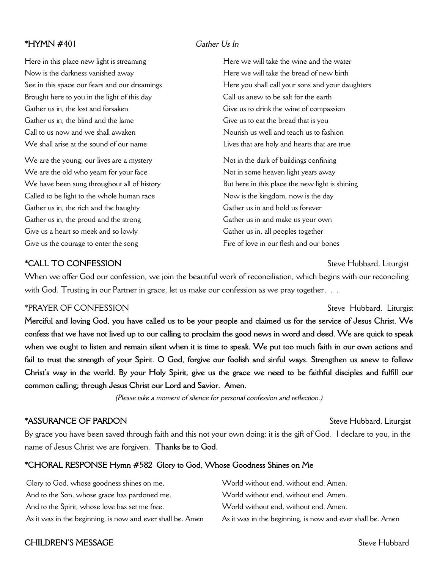#### **\*HYMN #**401 *Gather Us In*

Here in this place new light is streaming Now is the darkness vanished away See in this space our fears and our dreamings Brought here to you in the light of this day Gather us in, the lost and forsaken Gather us in, the blind and the lame Call to us now and we shall awaken We shall arise at the sound of our name

We are the young, our lives are a mystery We are the old who yearn for your face We have been sung throughout all of history Called to be light to the whole human race Gather us in, the rich and the haughty Gather us in, the proud and the strong Give us a heart so meek and so lowly Give us the courage to enter the song

Here we will take the wine and the water Here we will take the bread of new birth Here you shall call your sons and your daughters Call us anew to be salt for the earth Give us to drink the wine of compassion Give us to eat the bread that is you Nourish us well and teach us to fashion Lives that are holy and hearts that are true

Not in the dark of buildings confining Not in some heaven light years away But here in this place the new light is shining Now is the kingdom, now is the day Gather us in and hold us forever Gather us in and make us your own Gather us in, all peoples together Fire of love in our flesh and our bones

#### **\*CALL TO CONFESSION** Steve Hubbard, Liturgist

When we offer God our confession, we join the beautiful work of reconciliation, which begins with our reconciling with God. Trusting in our Partner in grace, let us make our confession as we pray together...

### \*PRAYER OF CONFESSION Steve Hubbard, Liturgist

**Merciful and loving God, you have called us to be your people and claimed us for the service of Jesus Christ. We confess that we have not lived up to our calling to proclaim the good news in word and deed. We are quick to speak when we ought to listen and remain silent when it is time to speak. We put too much faith in our own actions and fail to trust the strength of your Spirit. O God, forgive our foolish and sinful ways. Strengthen us anew to follow Christ's way in the world. By your Holy Spirit, give us the grace we need to be faithful disciples and fulfill our common calling; through Jesus Christ our Lord and Savior. Amen.** 

*(Please take a moment of silence for personal confession and reflection.)*

### **\*ASSURANCE OF PARDON** Steve Hubbard, Liturgist

By grace you have been saved through faith and this not your own doing; it is the gift of God. I declare to you, in the name of Jesus Christ we are forgiven. **Thanks be to God.**

#### **\*CHORAL RESPONSE Hymn #582 Glory to God, Whose Goodness Shines on Me**

| Glory to God, whose goodness shines on me,                 | World without end, without end. Amen.                      |
|------------------------------------------------------------|------------------------------------------------------------|
| And to the Son, whose grace has pardoned me,               | World without end, without end. Amen.                      |
| And to the Spirit, whose love has set me free.             | World without end, without end. Amen.                      |
| As it was in the beginning, is now and ever shall be. Amen | As it was in the beginning, is now and ever shall be. Amen |

### **CHILDREN'S MESSAGE** Steve Hubbard Steve Hubbard Steve Hubbard Steve Hubbard Steve Hubbard Steve Hubbard Steve Hubbard Steve Hubbard Steve Hubbard Steve Hubbard Steve Hubbard Steve Hubbard Steve Hubbard Steve Hubbard Steve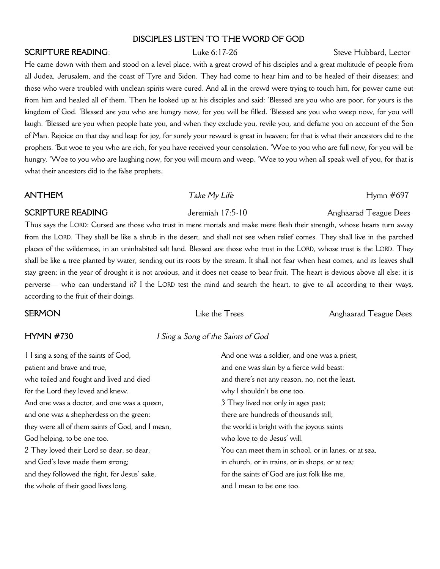#### **DISCIPLES LISTEN TO THE WORD OF GOD**

He came down with them and stood on a level place, with a great crowd of his disciples and a great multitude of people from all Judea, Jerusalem, and the coast of Tyre and Sidon. They had come to hear him and to be healed of their diseases; and those who were troubled with unclean spirits were cured. And all in the crowd were trying to touch him, for power came out from him and healed all of them. Then he looked up at his disciples and said: 'Blessed are you who are poor, for yours is the kingdom of God. 'Blessed are you who are hungry now, for you will be filled. 'Blessed are you who weep now, for you will laugh. 'Blessed are you when people hate you, and when they exclude you, revile you, and defame you on account of the Son of Man. Rejoice on that day and leap for joy, for surely your reward is great in heaven; for that is what their ancestors did to the prophets. 'But woe to you who are rich, for you have received your consolation. 'Woe to you who are full now, for you will be hungry. 'Woe to you who are laughing now, for you will mourn and weep. 'Woe to you when all speak well of you, for that is what their ancestors did to the false prophets.

## **ANTHEM** *Take My Life* Hymn #697

#### **SCRIPTURE READING** Jeremiah 17:5-10 Anghaarad Teague Dees

Thus says the LORD: Cursed are those who trust in mere mortals and make mere flesh their strength, whose hearts turn away from the LORD. They shall be like a shrub in the desert, and shall not see when relief comes. They shall live in the parched places of the wilderness, in an uninhabited salt land. Blessed are those who trust in the LORD, whose trust is the LORD. They shall be like a tree planted by water, sending out its roots by the stream. It shall not fear when heat comes, and its leaves shall stay green; in the year of drought it is not anxious, and it does not cease to bear fruit. The heart is devious above all else; it is perverse— who can understand it? I the LORD test the mind and search the heart, to give to all according to their ways, according to the fruit of their doings.

### **SERMON** Like the Trees Anghaarad Teague Dees

### **HYMN #730** *I Sing a Song of the Saints of God*

| 1 I sing a song of the saints of God,            | And one was a soldier, and one was a priest,         |
|--------------------------------------------------|------------------------------------------------------|
| patient and brave and true,                      | and one was slain by a fierce wild beast:            |
| who toiled and fought and lived and died         | and there's not any reason, no, not the least,       |
| for the Lord they loved and knew.                | why I shouldn't be one too.                          |
| And one was a doctor, and one was a queen,       | 3 They lived not only in ages past;                  |
| and one was a shepherdess on the green:          | there are hundreds of thousands still;               |
| they were all of them saints of God, and I mean, | the world is bright with the joyous saints           |
| God helping, to be one too.                      | who love to do Jesus' will.                          |
| 2 They loved their Lord so dear, so dear,        | You can meet them in school, or in lanes, or at sea, |
| and God's love made them strong;                 | in church, or in trains, or in shops, or at tea;     |
| and they followed the right, for Jesus' sake,    | for the saints of God are just folk like me,         |
| the whole of their good lives long.              | and I mean to be one too.                            |
|                                                  |                                                      |

#### **SCRIPTURE READING**: Luke 6:17-26 Steve Hubbard, Lector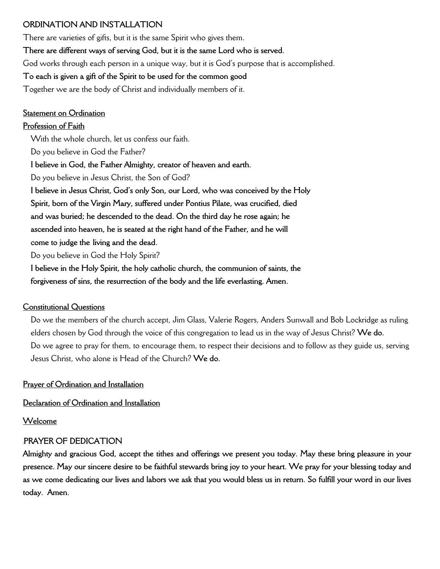### **ORDINATION AND INSTALLATION**

There are varieties of gifts, but it is the same Spirit who gives them.

**There are different ways of serving God, but it is the same Lord who is served.** 

God works through each person in a unique way, but it is God's purpose that is accomplished.

#### **To each is given a gift of the Spirit to be used for the common good**

Together we are the body of Christ and individually members of it.

#### **Statement on Ordination**

#### **Profession of Faith**

With the whole church, let us confess our faith. Do you believe in God the Father? **I believe in God, the Father Almighty, creator of heaven and earth.** Do you believe in Jesus Christ, the Son of God? **I believe in Jesus Christ, God's only Son, our Lord, who was conceived by the Holy Spirit, born of the Virgin Mary, suffered under Pontius Pilate, was crucified, died and was buried; he descended to the dead. On the third day he rose again; he ascended into heaven, he is seated at the right hand of the Father, and he will come to judge the living and the dead.** Do you believe in God the Holy Spirit? **I believe in the Holy Spirit, the holy catholic church, the communion of saints, the** 

**forgiveness of sins, the resurrection of the body and the life everlasting. Amen.** 

### **Constitutional Questions**

Do we the members of the church accept, Jim Glass, Valerie Rogers, Anders Sunwall and Bob Lockridge as ruling elders chosen by God through the voice of this congregation to lead us in the way of Jesus Christ? **We do.** Do we agree to pray for them, to encourage them, to respect their decisions and to follow as they guide us, serving Jesus Christ, who alone is Head of the Church? **We do.**

### **Prayer of Ordination and Installation**

### **Declaration of Ordination and Installation**

#### **Welcome**

### \**PRAYER OF DEDICATION**

**Almighty and gracious God, accept the tithes and offerings we present you today. May these bring pleasure in your presence. May our sincere desire to be faithful stewards bring joy to your heart. We pray for your blessing today and as we come dedicating our lives and labors we ask that you would bless us in return. So fulfill your word in our lives today. Amen.**